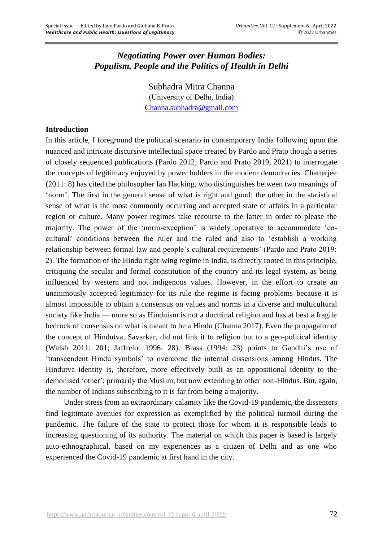# *Negotiating Power over Human Bodies: Populism, People and the Politics of Health in Delhi*

Subhadra Mitra Channa (University of Delhi, India) [Channa.subhadra@gmail.com](mailto:Channa.subhadra@gmail.com)

# **Introduction**

In this article, I foreground the political scenario in contemporary India following upon the nuanced and intricate discursive intellectual space created by Pardo and Prato though a series of closely sequenced publications (Pardo 2012; Pardo and Prato 2019, 2021) to interrogate the concepts of legitimacy enjoyed by power holders in the modern democracies. Chatterjee (2011: 8) has cited the philosopher Ian Hacking, who distinguishes between two meanings of 'norm'. The first in the general sense of what is right and good; the other in the statistical sense of what is the most commonly occurring and accepted state of affairs in a particular region or culture. Many power regimes take recourse to the latter in order to please the majority. The power of the 'norm-exception' is widely operative to accommodate 'cocultural' conditions between the ruler and the ruled and also to 'establish a working relationship between formal law and people's cultural requirements' (Pardo and Prato 2019: 2). The formation of the Hindu right-wing regime in India, is directly rooted in this principle, critiquing the secular and formal constitution of the country and its legal system, as being influenced by western and not indigenous values. However, in the effort to create an unanimously accepted legitimacy for its rule the regime is facing problems because it is almost impossible to obtain a consensus on values and norms in a diverse and multicultural society like India — more so as Hinduism is not a doctrinal religion and has at best a fragile bedrock of consensus on what is meant to be a Hindu (Channa 2017). Even the propagator of the concept of Hindutva, Savarkar, did not link it to religion but to a geo-political identity (Walsh 2011: 201; Jaffrelot 1996: 28). Brass (1994: 23) points to Gandhi's use of 'transcendent Hindu symbols' to overcome the internal dissensions among Hindus. The Hindutva identity is, therefore, more effectively built as an oppositional identity to the demonised 'other'; primarily the Muslim, but now extending to other non-Hindus. But, again, the number of Indians subscribing to it is far from being a majority.

Under stress from an extraordinary calamity like the Covid-19 pandemic, the dissenters find legitimate avenues for expression as exemplified by the political turmoil during the pandemic. The failure of the state to protect those for whom it is responsible leads to increasing questioning of its authority. The material on which this paper is based is largely auto-ethnographical, based on my experiences as a citizen of Delhi and as one who experienced the Covid-19 pandemic at first hand in the city.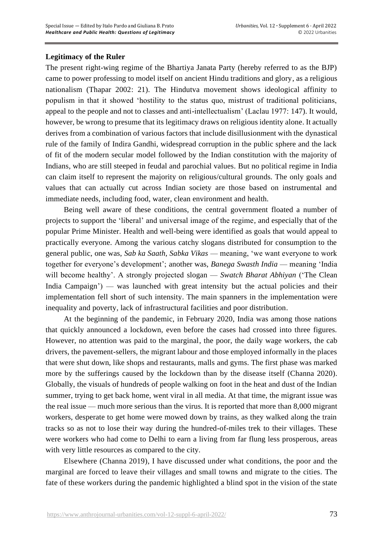# **Legitimacy of the Ruler**

The present right-wing regime of the Bhartiya Janata Party (hereby referred to as the BJP) came to power professing to model itself on ancient Hindu traditions and glory, as a religious nationalism (Thapar 2002: 21). The Hindutva movement shows ideological affinity to populism in that it showed 'hostility to the status quo, mistrust of traditional politicians, appeal to the people and not to classes and anti-intellectualism' (Laclau 1977: 147). It would, however, be wrong to presume that its legitimacy draws on religious identity alone. It actually derives from a combination of various factors that include disillusionment with the dynastical rule of the family of Indira Gandhi, widespread corruption in the public sphere and the lack of fit of the modern secular model followed by the Indian constitution with the majority of Indians, who are still steeped in feudal and parochial values. But no political regime in India can claim itself to represent the majority on religious/cultural grounds. The only goals and values that can actually cut across Indian society are those based on instrumental and immediate needs, including food, water, clean environment and health.

Being well aware of these conditions, the central government floated a number of projects to support the 'liberal' and universal image of the regime, and especially that of the popular Prime Minister. Health and well-being were identified as goals that would appeal to practically everyone. Among the various catchy slogans distributed for consumption to the general public, one was, *Sab ka Saath, Sabka Vikas* — meaning, 'we want everyone to work together for everyone's development'; another was, *Banega Swasth India* — meaning 'India will become healthy'. A strongly projected slogan — *Swatch Bharat Abhiyan* ('The Clean India Campaign') — was launched with great intensity but the actual policies and their implementation fell short of such intensity. The main spanners in the implementation were inequality and poverty, lack of infrastructural facilities and poor distribution.

At the beginning of the pandemic, in February 2020, India was among those nations that quickly announced a lockdown, even before the cases had crossed into three figures. However, no attention was paid to the marginal, the poor, the daily wage workers, the cab drivers, the pavement-sellers, the migrant labour and those employed informally in the places that were shut down, like shops and restaurants, malls and gyms. The first phase was marked more by the sufferings caused by the lockdown than by the disease itself (Channa 2020). Globally, the visuals of hundreds of people walking on foot in the heat and dust of the Indian summer, trying to get back home, went viral in all media. At that time, the migrant issue was the real issue — much more serious than the virus. It is reported that more than 8,000 migrant workers, desperate to get home were mowed down by trains, as they walked along the train tracks so as not to lose their way during the hundred-of-miles trek to their villages. These were workers who had come to Delhi to earn a living from far flung less prosperous, areas with very little resources as compared to the city.

Elsewhere (Channa 2019), I have discussed under what conditions, the poor and the marginal are forced to leave their villages and small towns and migrate to the cities. The fate of these workers during the pandemic highlighted a blind spot in the vision of the state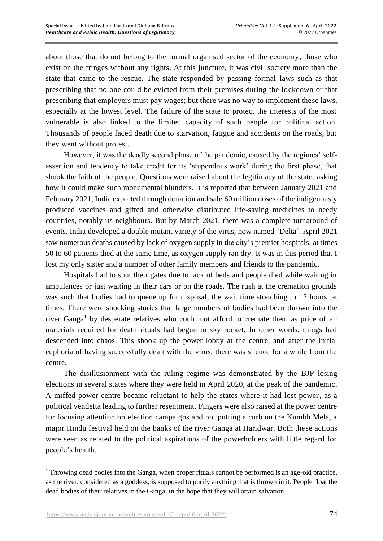about those that do not belong to the formal organised sector of the economy, those who exist on the fringes without any rights. At this juncture, it was civil society more than the state that came to the rescue. The state responded by passing formal laws such as that prescribing that no one could be evicted from their premises during the lockdown or that prescribing that employers must pay wages; but there was no way to implement these laws, especially at the lowest level. The failure of the state to protect the interests of the most vulnerable is also linked to the limited capacity of such people for political action. Thousands of people faced death due to starvation, fatigue and accidents on the roads, but they went without protest.

However, it was the deadly second phase of the pandemic, caused by the regimes' selfassertion and tendency to take credit for its 'stupendous work' during the first phase, that shook the faith of the people. Questions were raised about the legitimacy of the state, asking how it could make such monumental blunders. It is reported that between January 2021 and February 2021, India exported through donation and sale 60 million doses of the indigenously produced vaccines and gifted and otherwise distributed life-saving medicines to needy countries, notably its neighbours. But by March 2021, there was a complete turnaround of events. India developed a double mutant variety of the virus, now named 'Delta'. April 2021 saw numerous deaths caused by lack of oxygen supply in the city's premier hospitals; at times 50 to 60 patients died at the same time, as oxygen supply ran dry. It was in this period that I lost my only sister and a number of other family members and friends to the pandemic.

Hospitals had to shut their gates due to lack of beds and people died while waiting in ambulances or just waiting in their cars or on the roads. The rush at the cremation grounds was such that bodies had to queue up for disposal, the wait time stretching to 12 hours, at times. There were shocking stories that large numbers of bodies had been thrown into the river Ganga<sup>1</sup> by desperate relatives who could not afford to cremate them as price of all materials required for death rituals had begun to sky rocket. In other words, things had descended into chaos. This shook up the power lobby at the centre, and after the initial euphoria of having successfully dealt with the virus, there was silence for a while from the centre.

The disillusionment with the ruling regime was demonstrated by the BJP losing elections in several states where they were held in April 2020, at the peak of the pandemic. A miffed power centre became reluctant to help the states where it had lost power, as a political vendetta leading to further resentment. Fingers were also raised at the power centre for focusing attention on election campaigns and not putting a curb on the Kumbh Mela, a major Hindu festival held on the banks of the river Ganga at Haridwar. Both these actions were seen as related to the political aspirations of the powerholders with little regard for people's health.

<sup>1</sup> Throwing dead bodies into the Ganga, when proper rituals cannot be performed is an age-old practice, as the river, considered as a goddess, is supposed to purify anything that is thrown in it. People float the dead bodies of their relatives in the Ganga, in the hope that they will attain salvation.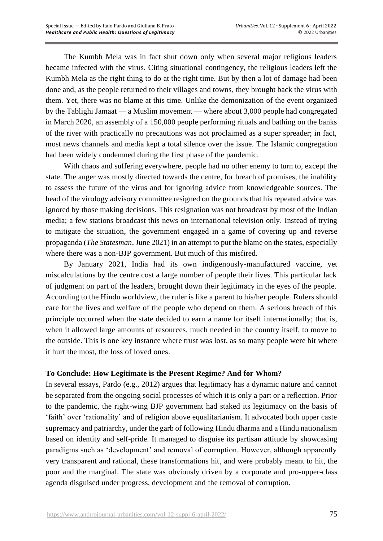The Kumbh Mela was in fact shut down only when several major religious leaders became infected with the virus. Citing situational contingency, the religious leaders left the Kumbh Mela as the right thing to do at the right time. But by then a lot of damage had been done and, as the people returned to their villages and towns, they brought back the virus with them. Yet, there was no blame at this time. Unlike the demonization of the event organized by the Tablighi Jamaat — a Muslim movement — where about 3,000 people had congregated in March 2020, an assembly of a 150,000 people performing rituals and bathing on the banks of the river with practically no precautions was not proclaimed as a super spreader; in fact, most news channels and media kept a total silence over the issue. The Islamic congregation had been widely condemned during the first phase of the pandemic.

With chaos and suffering everywhere, people had no other enemy to turn to, except the state. The anger was mostly directed towards the centre, for breach of promises, the inability to assess the future of the virus and for ignoring advice from knowledgeable sources. The head of the virology advisory committee resigned on the grounds that his repeated advice was ignored by those making decisions. This resignation was not broadcast by most of the Indian media; a few stations broadcast this news on international television only. Instead of trying to mitigate the situation, the government engaged in a game of covering up and reverse propaganda (*The Statesman*, June 2021) in an attempt to put the blame on the states, especially where there was a non-BJP government. But much of this misfired.

By January 2021, India had its own indigenously-manufactured vaccine, yet miscalculations by the centre cost a large number of people their lives. This particular lack of judgment on part of the leaders, brought down their legitimacy in the eyes of the people. According to the Hindu worldview, the ruler is like a parent to his/her people. Rulers should care for the lives and welfare of the people who depend on them. A serious breach of this principle occurred when the state decided to earn a name for itself internationally; that is, when it allowed large amounts of resources, much needed in the country itself, to move to the outside. This is one key instance where trust was lost, as so many people were hit where it hurt the most, the loss of loved ones.

# **To Conclude: How Legitimate is the Present Regime? And for Whom?**

In several essays, Pardo (e.g., 2012) argues that legitimacy has a dynamic nature and cannot be separated from the ongoing social processes of which it is only a part or a reflection. Prior to the pandemic, the right-wing BJP government had staked its legitimacy on the basis of 'faith' over 'rationality' and of religion above equalitarianism. It advocated both upper caste supremacy and patriarchy, under the garb of following Hindu dharma and a Hindu nationalism based on identity and self-pride. It managed to disguise its partisan attitude by showcasing paradigms such as 'development' and removal of corruption. However, although apparently very transparent and rational, these transformations hit, and were probably meant to hit, the poor and the marginal. The state was obviously driven by a corporate and pro-upper-class agenda disguised under progress, development and the removal of corruption.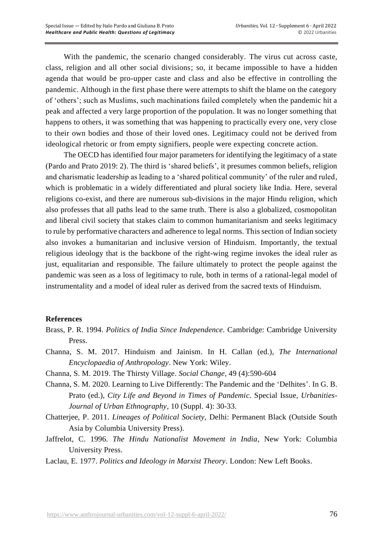With the pandemic, the scenario changed considerably. The virus cut across caste, class, religion and all other social divisions; so, it became impossible to have a hidden agenda that would be pro-upper caste and class and also be effective in controlling the pandemic. Although in the first phase there were attempts to shift the blame on the category of 'others'; such as Muslims, such machinations failed completely when the pandemic hit a peak and affected a very large proportion of the population. It was no longer something that happens to others, it was something that was happening to practically every one, very close to their own bodies and those of their loved ones. Legitimacy could not be derived from ideological rhetoric or from empty signifiers, people were expecting concrete action.

The OECD has identified four major parameters for identifying the legitimacy of a state (Pardo and Prato 2019: 2). The third is 'shared beliefs', it presumes common beliefs, religion and charismatic leadership as leading to a 'shared political community' of the ruler and ruled, which is problematic in a widely differentiated and plural society like India. Here, several religions co-exist, and there are numerous sub-divisions in the major Hindu religion, which also professes that all paths lead to the same truth. There is also a globalized, cosmopolitan and liberal civil society that stakes claim to common humanitarianism and seeks legitimacy to rule by performative characters and adherence to legal norms. This section of Indian society also invokes a humanitarian and inclusive version of Hinduism. Importantly, the textual religious ideology that is the backbone of the right-wing regime invokes the ideal ruler as just, equalitarian and responsible. The failure ultimately to protect the people against the pandemic was seen as a loss of legitimacy to rule, both in terms of a rational-legal model of instrumentality and a model of ideal ruler as derived from the sacred texts of Hinduism.

# **References**

- Brass, P. R. 1994. *Politics of India Since Independence.* Cambridge: Cambridge University Press.
- Channa, S. M. 2017. Hinduism and Jainism. In H. Callan (ed.), *The International Encyclopaedia of Anthropology*. New York: Wiley.
- Channa, S. M. 2019. The Thirsty Village. *Social Change,* 49 (4):590-604
- Channa, S. M. 2020. Learning to Live Differently: The Pandemic and the 'Delhites'. In G. B. Prato (ed.), *City Life and Beyond in Times of Pandemic.* Special Issue, *Urbanities-Journal of Urban Ethnography*, 10 (Suppl. 4): 30-33.
- Chatterjee, P. 2011. *Lineages of Political Society,* Delhi: Permanent Black (Outside South Asia by Columbia University Press).
- Jaffrelot, C. 1996. *The Hindu Nationalist Movement in India*, New York: Columbia University Press.
- Laclau, E. 1977. *Politics and Ideology in Marxist Theory*. London: New Left Books.